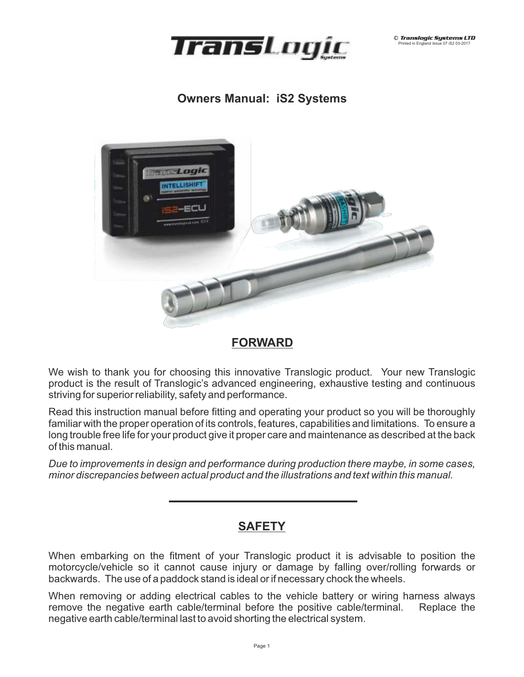

## **Owners Manual: iS2 Systems**



## **FORWARD**

We wish to thank you for choosing this innovative Translogic product. Your new Translogic product is the result of Translogic's advanced engineering, exhaustive testing and continuous striving for superior reliability, safety and performance.

Read this instruction manual before fitting and operating your product so you will be thoroughly familiar with the proper operation of its controls, features, capabilities and limitations. To ensure a long trouble free life for your product give it proper care and maintenance as described at the back of this manual.

*Due to improvements in design and performance during production there maybe, in some cases, minor discrepancies between actual product and the illustrations and text within this manual.*

## **SAFETY**

When embarking on the fitment of your Translogic product it is advisable to position the motorcycle/vehicle so it cannot cause injury or damage by falling over/rolling forwards or backwards. The use of a paddock stand is ideal or if necessary chock the wheels.

When removing or adding electrical cables to the vehicle battery or wiring harness always remove the negative earth cable/terminal before the positive cable/terminal. Replace the negative earth cable/terminal last to avoid shorting the electrical system.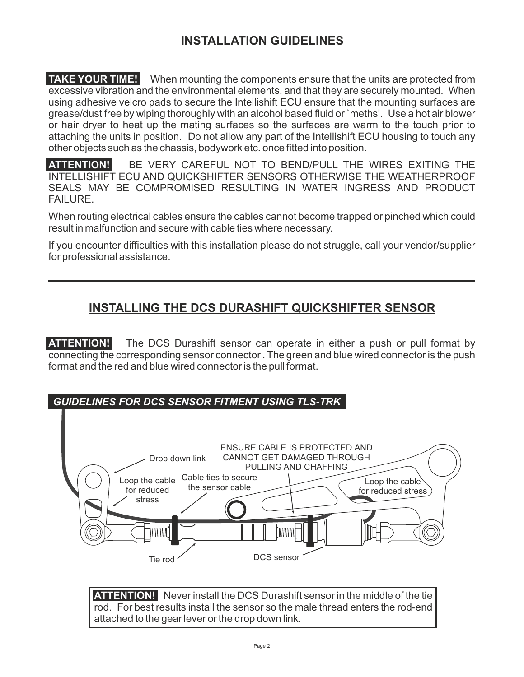# **INSTALLATION GUIDELINES**

**TAKE YOUR TIME!** When mounting the components ensure that the units are protected from excessive vibration and the environmental elements, and that they are securely mounted. When using adhesive velcro pads to secure the Intellishift ECU ensure that the mounting surfaces are grease/dust free by wiping thoroughly with an alcohol based fluid or `meths'. Use a hot air blower or hair dryer to heat up the mating surfaces so the surfaces are warm to the touch prior to attaching the units in position. Do not allow any part of the Intellishift ECU housing to touch any other objects such as the chassis, bodywork etc. once fitted into position.

**ATTENTION!** BE VERY CAREFUL NOT TO BEND/PULL THE WIRES EXITING THE INTELLISHIFT ECU AND QUICKSHIFTER SENSORS OTHERWISE THE WEATHERPROOF SEALS MAY BE COMPROMISED RESULTING IN WATER INGRESS AND PRODUCT FAILURE.

When routing electrical cables ensure the cables cannot become trapped or pinched which could result in malfunction and secure with cable ties where necessary.

If you encounter difficulties with this installation please do not struggle, call your vendor/supplier for professional assistance.

## **INSTALLING THE DCS DURASHIFT QUICKSHIFTER SENSOR**

**ATTENTION!** The DCS Durashift sensor can operate in either a push or pull format by connecting the corresponding sensor connector . The green and blue wired connector is the push format and the red and blue wired connector is the pull format.





**ATTENTION!** Never install the DCS Durashift sensor in the middle of the tie rod. For best results install the sensor so the male thread enters the rod-end attached to the gear lever or the drop down link.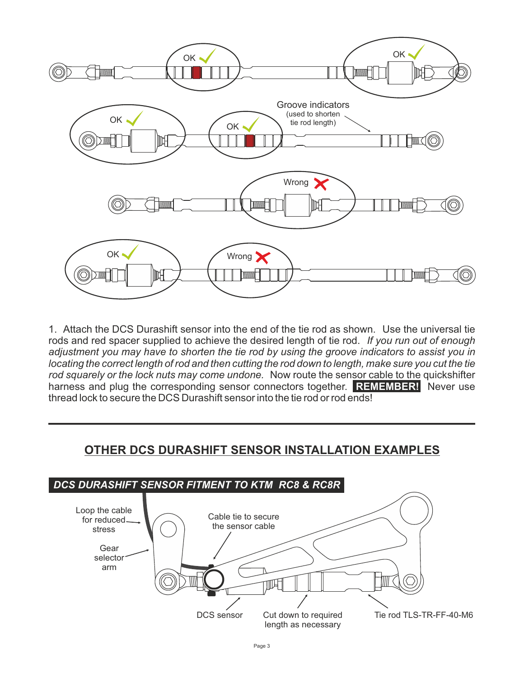

1. Attach the DCS Durashift sensor into the end of the tie rod as shown. Use the universal tie rods and red spacer supplied to achieve the desired length of tie rod. *If you run out of enough adjustment you may have to shorten the tie rod by using the groove indicators to assist you in locating the correct length of rod and then cutting the rod down to length, make sure you cut the tie rod squarely or the lock nuts may come undone.* Now route the sensor cable to the quickshifter harness and plug the corresponding sensor connectors together. **REMEMBER!** Never use thread lock to secure the DCS Durashift sensor into the tie rod or rod ends!

## **OTHER DCS DURASHIFT SENSOR INSTALLATION EXAMPLES**

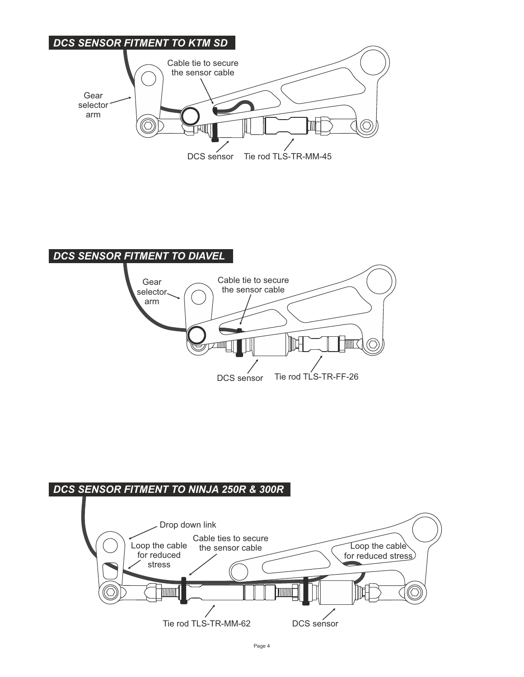



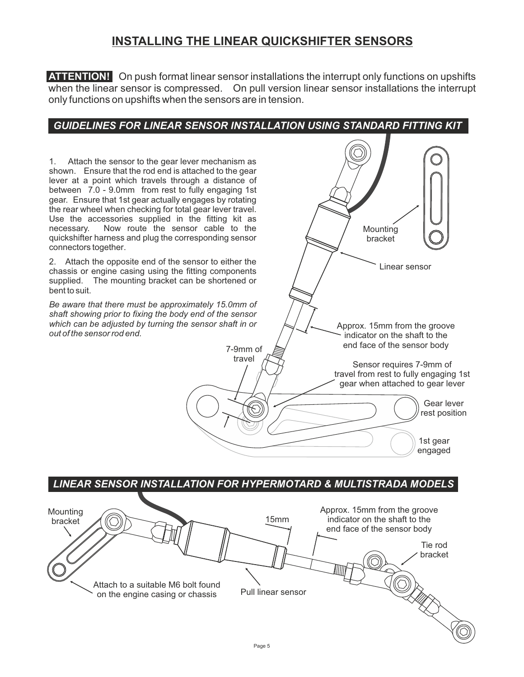## **INSTALLING THE LINEAR QUICKSHIFTER SENSORS**

**ATTENTION!** On push format linear sensor installations the interrupt only functions on upshifts when the linear sensor is compressed. On pull version linear sensor installations the interrupt only functions on upshifts when the sensors are in tension.

## *GUIDELINES FOR LINEAR SENSOR INSTALLATION USING STANDARD FITTING KIT*

Pull linear sensor Approx. 15mm from the groove indicator on the shaft to the end face of the sensor body 15mm Tie rod bracket<br>
CONSULTER *LINEAR SENSOR INSTALLATION FOR HYPERMOTARD & MULTISTRADA MODELS* **Mounting** bracket Attach to a suitable M6 bolt found on the engine casing or chassis Linear sensor Approx. 15mm from the groove indicator on the shaft to the end face of the sensor body Sensor requires 7-9mm of travel from rest to fully engaging 1st gear when attached to gear lever 7-9mm of travel 1st gear engaged Gear lever rest position Mounting bracket 1. Attach the sensor to the gear lever mechanism as shown. Ensure that the rod end is attached to the gear lever at a point which travels through a distance of between 7.0 - 9.0mm from rest to fully engaging 1st gear. Ensure that 1st gear actually engages by rotating the rear wheel when checking for total gear lever travel. Use the accessories supplied in the fitting kit as necessary. Now route the sensor cable to the quickshifter harness and plug the corresponding sensor connectors together. 2. Attach the opposite end of the sensor to either the chassis or engine casing using the fitting components supplied. The mounting bracket can be shortened or bent to suit. *Be aware that there must be approximately 15.0mm of shaft showing prior to fixing the body end of the sensor which can be adjusted by turning the sensor shaft in or out of the sensor rod end.*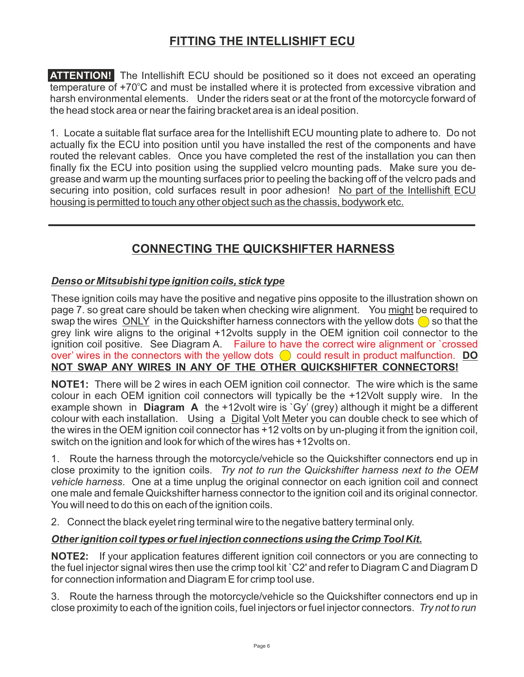# **FITTING THE INTELLISHIFT ECU**

**ATTENTION!** The Intellishift ECU should be positioned so it does not exceed an operating temperature of +70°C and must be installed where it is protected from excessive vibration and harsh environmental elements. Under the riders seat or at the front of the motorcycle forward of the head stock area or near the fairing bracket area is an ideal position.

1. Locate a suitable flat surface area for the Intellishift ECU mounting plate to adhere to. Do not actually fix the ECU into position until you have installed the rest of the components and have routed the relevant cables. Once you have completed the rest of the installation you can then finally fix the ECU into position using the supplied velcro mounting pads. Make sure you degrease and warm up the mounting surfaces prior to peeling the backing off of the velcro pads and securing into position, cold surfaces result in poor adhesion! No part of the Intellishift ECU housing is permitted to touch any other object such as the chassis, bodywork etc.

# **CONNECTING THE QUICKSHIFTER HARNESS**

### *Denso or Mitsubishi type ignition coils, stick type*

These ignition coils may have the positive and negative pins opposite to the illustration shown on page 7. so great care should be taken when checking wire alignment. You might be required to swap the wires ONLY in the Quickshifter harness connectors with the yellow dots  $\bigcirc$  so that the grey link wire aligns to the original +12volts supply in the OEM ignition coil connector to the ignition coil positive. See Diagram A. Failure to have the correct wire alignment or `crossed over' wires in the connectors with the yellow dots  $\bigcirc$  could result in product malfunction. **DO NOT SWAP ANY WIRES IN ANY OF THE OTHER QUICKSHIFTER CONNECTORS!** 

**NOTE1:** There will be 2 wires in each OEM ignition coil connector. The wire which is the same colour in each OEM ignition coil connectors will typically be the +12Volt supply wire. In the example shown in **Diagram A** the +12volt wire is `Gy' (grey) although it might be a different colour with each installation. Using a Digital Volt Meter you can double check to see which of the wires in the OEM ignition coil connector has +12 volts on by un-pluging it from the ignition coil, switch on the ignition and look for which of the wires has +12volts on.

1. Route the harness through the motorcycle/vehicle so the Quickshifter connectors end up in close proximity to the ignition coils. *Try not to run the Quickshifter harness next to the OEM vehicle harness*. One at a time unplug the original connector on each ignition coil and connect one male and female Quickshifter harness connector to the ignition coil and its original connector. You will need to do this on each of the ignition coils.

2. Connect the black eyelet ring terminal wire to the negative battery terminal only.

### *Other ignition coil types or fuel injection connections using the Crimp Tool Kit.*

**NOTE2:** If your application features different ignition coil connectors or you are connecting to the fuel injector signal wires then use the crimp tool kit `C2' and refer to Diagram C and Diagram D for connection information and Diagram E for crimp tool use.

3. Route the harness through the motorcycle/vehicle so the Quickshifter connectors end up in close proximity to each of the ignition coils, fuel injectors or fuel injector connectors. *Try not to run*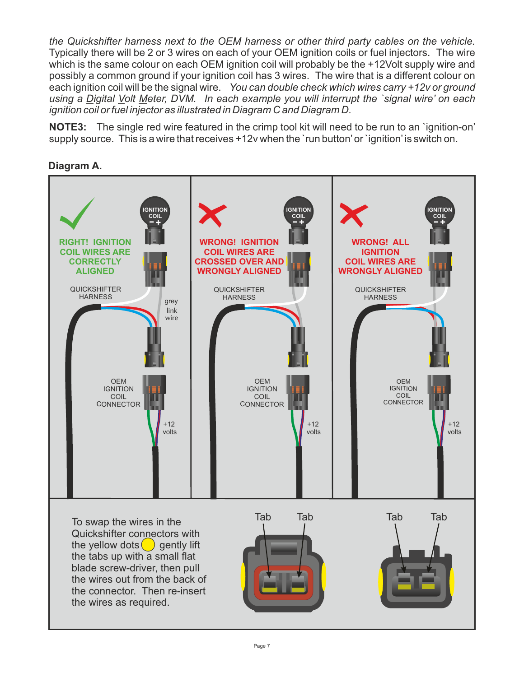*the Quickshifter harness next to the OEM harness or other third party cables on the vehicle.*  Typically there will be 2 or 3 wires on each of your OEM ignition coils or fuel injectors. The wire which is the same colour on each OEM ignition coil will probably be the +12Volt supply wire and possibly a common ground if your ignition coil has 3 wires. The wire that is a different colour on each ignition coil will be the signal wire. *You can double check which wires carry +12v or ground using a Digital Volt Meter, DVM. In each example you will interrupt the `signal wire' on each ignition coil or fuel injector as illustrated in Diagram C and Diagram D.* 

**NOTE3:** The single red wire featured in the crimp tool kit will need to be run to an `ignition-on' supply source. This is a wire that receives +12v when the `run button'or `ignition' is switch on.

#### **Diagram A.**

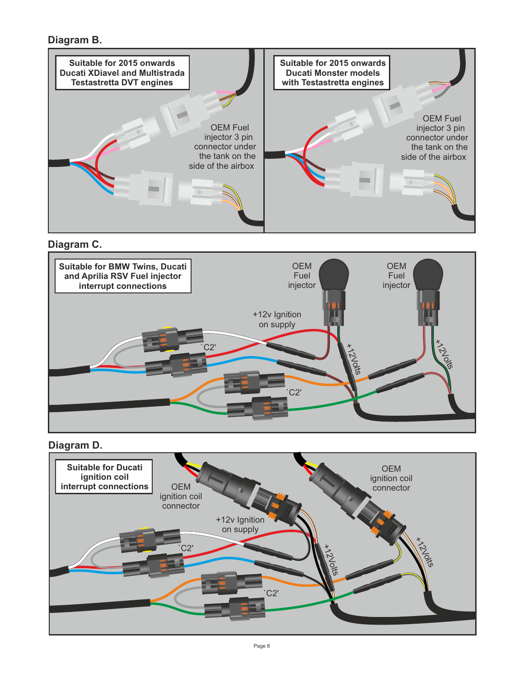### **Diagram B.**



**Diagram C.**



#### **Diagram D.**

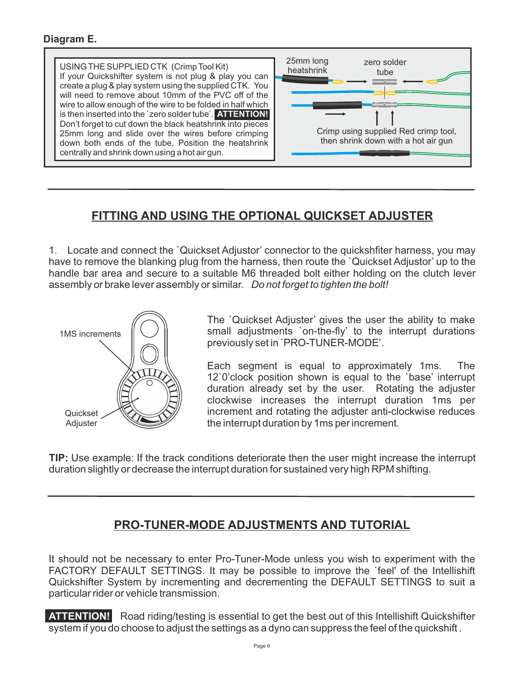#### **Diagram E.**



## **FITTING AND USING THE OPTIONAL QUICKSET ADJUSTER**

1. Locate and connect the `Quickset Adjustor' connector to the quickshfiter harness, you may have to remove the blanking plug from the harness, then route the `Quickset Adjustor' up to the handle bar area and secure to a suitable M6 threaded bolt either holding on the clutch lever assembly or brake lever assembly or similar. *Do not forget to tighten the bolt!*



The `Quickset Adjuster' gives the user the ability to make small adjustments `on-the-fly' to the interrupt durations previously set in `PRO-TUNER-MODE'.

Each segment is equal to approximately 1ms. The 12`0'clock position shown is equal to the `base' interrupt duration already set by the user. Rotating the adjuster clockwise increases the interrupt duration 1ms per increment and rotating the adjuster anti-clockwise reduces the interrupt duration by 1ms per increment.

**TIP:** Use example: If the track conditions deteriorate then the user might increase the interrupt duration slightly or decrease the interrupt duration for sustained very high RPM shifting.

## **PRO-TUNER-MODE ADJUSTMENTS AND TUTORIAL**

It should not be necessary to enter Pro-Tuner-Mode unless you wish to experiment with the FACTORY DEFAULT SETTINGS. It may be possible to improve the `feel' of the Intellishift Quickshifter System by incrementing and decrementing the DEFAULT SETTINGS to suit a particular rider or vehicle transmission.

**ATTENTION!** Road riding/testing is essential to get the best out of this Intellishift Quickshifter system if you do choose to adjust the settings as a dyno can suppress the feel of the quickshift .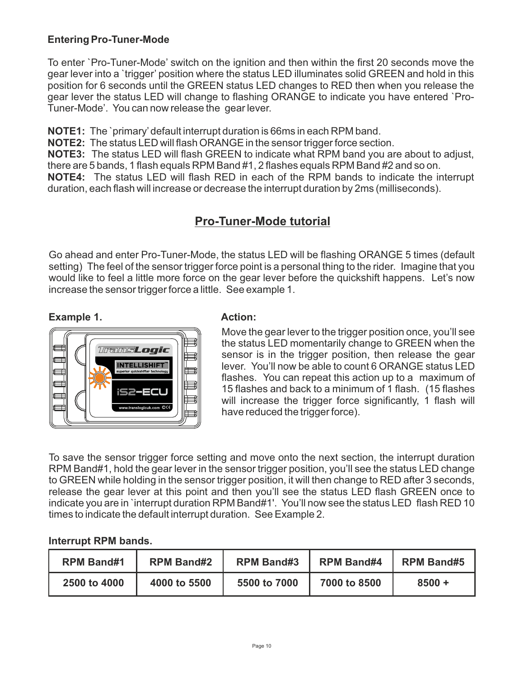### **Entering Pro-Tuner-Mode**

To enter `Pro-Tuner-Mode' switch on the ignition and then within the first 20 seconds move the gear lever into a `trigger' position where the status LED illuminates solid GREEN and hold in this position for 6 seconds until the GREEN status LED changes to RED then when you release the gear lever the status LED will change to flashing ORANGE to indicate you have entered `Pro-Tuner-Mode'. You can now release the gear lever.

**NOTE1:** The `primary'default interrupt duration is 66ms in each RPM band.

**NOTE2:** The status LED will flash ORANGE in the sensor trigger force section.

**NOTE3:** The status LED will flash GREEN to indicate what RPM band you are about to adjust, there are 5 bands, 1 flash equals RPM Band #1, 2 flashes equals RPM Band #2 and so on.

**NOTE4:** The status LED will flash RED in each of the RPM bands to indicate the interrupt duration, each flash will increase or decrease the interrupt duration by 2ms (milliseconds).

## **Pro-Tuner-Mode tutorial**

Go ahead and enter Pro-Tuner-Mode, the status LED will be flashing ORANGE 5 times (default setting) The feel of the sensor trigger force point is a personal thing to the rider. Imagine that you would like to feel a little more force on the gear lever before the quickshift happens. Let's now increase the sensor trigger force a little. See example 1.

#### **Example 1.**



#### **Action:**

Move the gear lever to the trigger position once, you'll see the status LED momentarily change to GREEN when the sensor is in the trigger position, then release the gear lever. You'll now be able to count 6 ORANGE status LED flashes. You can repeat this action up to a maximum of 15 flashes and back to a minimum of 1 flash. (15 flashes will increase the trigger force significantly, 1 flash will have reduced the trigger force).

To save the sensor trigger force setting and move onto the next section, the interrupt duration RPM Band#1, hold the gear lever in the sensor trigger position, you'll see the status LED change to GREEN while holding in the sensor trigger position, it will then change to RED after 3 seconds, release the gear lever at this point and then you'll see the status LED flash GREEN once to indicate you are in `interrupt duration RPM Band#1'. You'll now see the status LED flash RED 10 times to indicate the default interrupt duration. See Example 2.

#### **Interrupt RPM bands.**

| <b>RPM Band#1</b> | <b>RPM Band#2</b> | <b>RPM Band#3</b> | <b>RPM Band#4</b> | <b>RPM Band#5</b> |
|-------------------|-------------------|-------------------|-------------------|-------------------|
| 2500 to 4000      | 4000 to 5500      | 5500 to 7000      | 7000 to 8500      | $8500 +$          |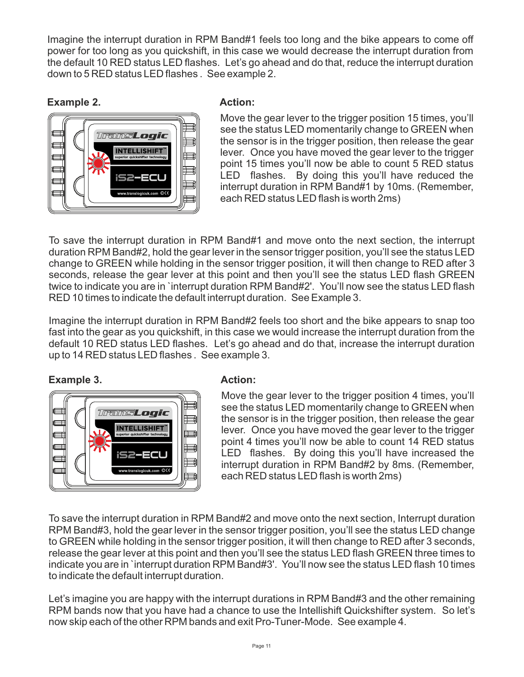Imagine the interrupt duration in RPM Band#1 feels too long and the bike appears to come off power for too long as you quickshift, in this case we would decrease the interrupt duration from the default 10 RED status LED flashes. Let's go ahead and do that, reduce the interrupt duration down to 5 RED status LED flashes . See example 2.

### **Example 2.**



### **Action:**

Move the gear lever to the trigger position 15 times, you'll see the status LED momentarily change to GREEN when the sensor is in the trigger position, then release the gear lever. Once you have moved the gear lever to the trigger point 15 times you'll now be able to count 5 RED status LED flashes. By doing this you'll have reduced the interrupt duration in RPM Band#1 by 10ms. (Remember, each RED status LED flash is worth 2ms)

To save the interrupt duration in RPM Band#1 and move onto the next section, the interrupt duration RPM Band#2, hold the gear lever in the sensor trigger position, you'll see the status LED change to GREEN while holding in the sensor trigger position, it will then change to RED after 3 seconds, release the gear lever at this point and then you'll see the status LED flash GREEN twice to indicate you are in `interrupt duration RPM Band#2'. You'll now see the status LED flash RED 10 times to indicate the default interrupt duration. See Example 3.

Imagine the interrupt duration in RPM Band#2 feels too short and the bike appears to snap too fast into the gear as you quickshift, in this case we would increase the interrupt duration from the default 10 RED status LED flashes. Let's go ahead and do that, increase the interrupt duration up to 14 RED status LED flashes . See example 3.

**Example 3.**



### **Action:**

Move the gear lever to the trigger position 4 times, you'll see the status LED momentarily change to GREEN when the sensor is in the trigger position, then release the gear lever. Once you have moved the gear lever to the trigger point 4 times you'll now be able to count 14 RED status LED flashes. By doing this you'll have increased the interrupt duration in RPM Band#2 by 8ms. (Remember, each RED status LED flash is worth 2ms)

To save the interrupt duration in RPM Band#2 and move onto the next section, Interrupt duration RPM Band#3, hold the gear lever in the sensor trigger position, you'll see the status LED change to GREEN while holding in the sensor trigger position, it will then change to RED after 3 seconds, release the gear lever at this point and then you'll see the status LED flash GREEN three times to indicate you are in `interrupt duration RPM Band#3'. You'll now see the status LED flash 10 times to indicate the default interrupt duration.

Let's imagine you are happy with the interrupt durations in RPM Band#3 and the other remaining RPM bands now that you have had a chance to use the Intellishift Quickshifter system. So let's now skip each of the other RPM bands and exit Pro-Tuner-Mode. See example 4.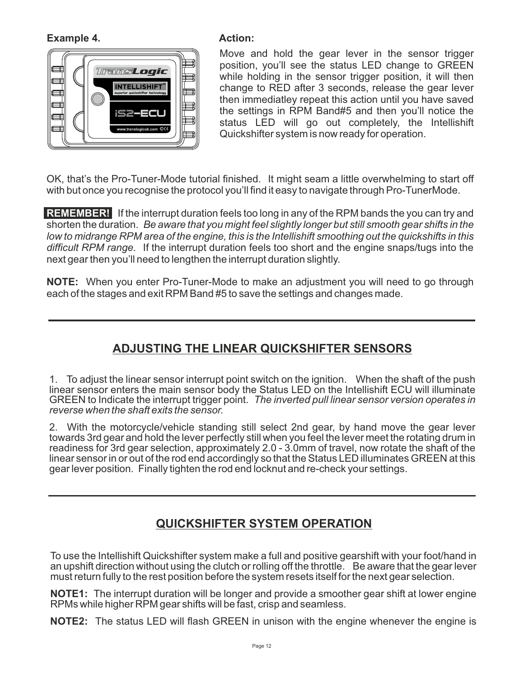**Example 4.**



#### **Action:**

Move and hold the gear lever in the sensor trigger position, you'll see the status LED change to GREEN while holding in the sensor trigger position, it will then change to RED after 3 seconds, release the gear lever then immediatley repeat this action until you have saved the settings in RPM Band#5 and then you'll notice the status LED will go out completely, the Intellishift Quickshifter system is now ready for operation.

OK, that's the Pro-Tuner-Mode tutorial finished. It might seam a little overwhelming to start off with but once you recognise the protocol you'll find it easy to navigate through Pro-TunerMode.

**REMEMBER!** If the interrupt duration feels too long in any of the RPM bands the you can try and shorten the duration. *Be aware that you might feel slightly longer but still smooth gear shifts in the low to midrange RPM area of the engine, this is the Intellishift smoothing out the quickshifts in this difficult RPM range.* If the interrupt duration feels too short and the engine snaps/tugs into the next gear then you'll need to lengthen the interrupt duration slightly.

**NOTE:** When you enter Pro-Tuner-Mode to make an adjustment you will need to go through each of the stages and exit RPM Band #5 to save the settings and changes made.

# **ADJUSTING THE LINEAR QUICKSHIFTER SENSORS**

1. To adjust the linear sensor interrupt point switch on the ignition. When the shaft of the push linear sensor enters the main sensor body the Status LED on the Intellishift ECU will illuminate GREEN to Indicate the interrupt trigger point. *The inverted pull linear sensor version operates in reverse when the shaft exits the sensor.* 

2. With the motorcycle/vehicle standing still select 2nd gear, by hand move the gear lever towards 3rd gear and hold the lever perfectly still when you feel the lever meet the rotating drum in readiness for 3rd gear selection, approximately 2.0 - 3.0mm of travel, now rotate the shaft of the linear sensor in or out of the rod end accordingly so that the Status LED illuminates GREEN at this gear lever position. Finally tighten the rod end locknut and re-check your settings.

# **QUICKSHIFTER SYSTEM OPERATION**

To use the Intellishift Quickshifter system make a full and positive gearshift with your foot/hand in an upshift direction without using the clutch or rolling off the throttle. Be aware that the gear lever must return fully to the rest position before the system resets itself for the next gear selection.

**NOTE1:** The interrupt duration will be longer and provide a smoother gear shift at lower engine RPMs while higher RPM gear shifts will be fast, crisp and seamless.

**NOTE2:** The status LED will flash GREEN in unison with the engine whenever the engine is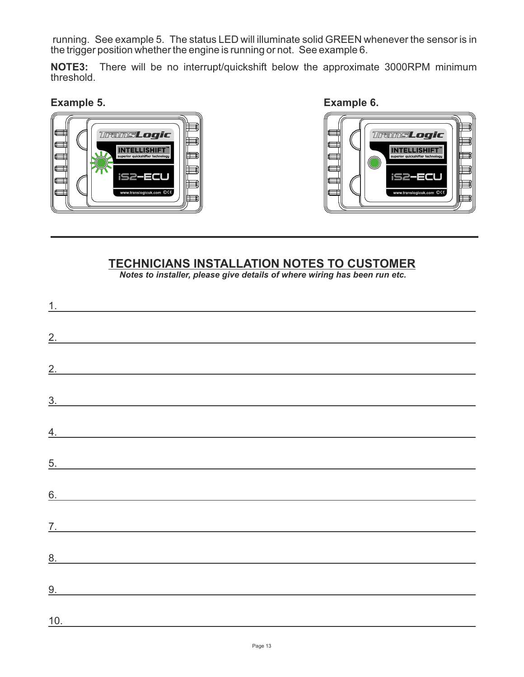running. See example 5. The status LED will illuminate solid GREEN whenever the sensor is in the trigger position whether the engine is running or not. See example 6.

**NOTE3:** There will be no interrupt/quickshift below the approximate 3000RPM minimum threshold.







## **TECHNICIANS INSTALLATION NOTES TO CUSTOMER**

*Notes to installer, please give details of where wiring has been run etc.*